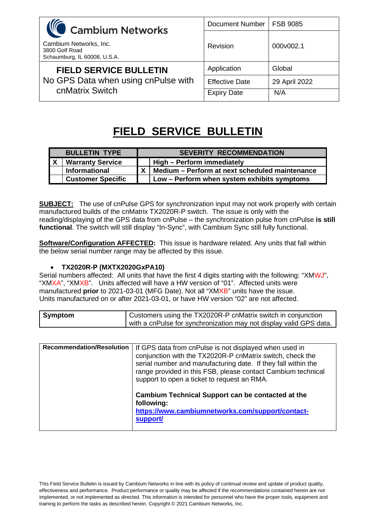| <b>WC</b> Cambium Networks                                               | <b>Document Number</b> | <b>FSB 9085</b> |
|--------------------------------------------------------------------------|------------------------|-----------------|
| Cambium Networks, Inc.<br>3800 Golf Road<br>Schaumburg, IL 60008, U.S.A. | <b>Revision</b>        | 000v002.1       |
| <b>FIELD SERVICE BULLETIN</b>                                            | Application            | Global          |
| No GPS Data when using cnPulse with<br>cnMatrix Switch                   | <b>Effective Date</b>  | 29 April 2022   |
|                                                                          | <b>Expiry Date</b>     | N/A             |

# **FIELD SERVICE BULLETIN**

| <b>BULLETIN TYPE</b>     | <b>SEVERITY RECOMMENDATION</b>                                |
|--------------------------|---------------------------------------------------------------|
| <b>Warranty Service</b>  | High – Perform immediately                                    |
| <b>Informational</b>     | $\mathsf{X}$   Medium – Perform at next scheduled maintenance |
| <b>Customer Specific</b> | Low - Perform when system exhibits symptoms                   |

**SUBJECT:** The use of cnPulse GPS for synchronization input may not work properly with certain manufactured builds of the cnMatrix TX2020R-P switch. The issue is only with the reading/displaying of the GPS data from cnPulse – the synchronization pulse from cnPulse **is still functional**. The switch will still display "In-Sync", with Cambium Sync still fully functional.

**Software/Configuration AFFECTED:** This issue is hardware related. Any units that fall within the below serial number range may be affected by this issue.

## • **TX2020R-P (MXTX2020GxPA10)**

Serial numbers affected: All units that have the first 4 digits starting with the following: "XMWJ", "XMXA", "XMXB". Units affected will have a HW version of "01". Affected units were manufactured **prior** to 2021-03-01 (MFG Date). Not all "XMXB" units have the issue. Units manufactured on or after 2021-03-01, or have HW version "02" are not affected.

| Symptom | Customers using the TX2020R-P cnMatrix switch in conjunction       |
|---------|--------------------------------------------------------------------|
|         | with a cnPulse for synchronization may not display valid GPS data. |

| <b>Recommendation/Resolution</b> | If GPS data from cnPulse is not displayed when used in<br>conjunction with the TX2020R-P cnMatrix switch, check the<br>serial number and manufacturing date. If they fall within the<br>range provided in this FSB, please contact Cambium technical<br>support to open a ticket to request an RMA. |
|----------------------------------|-----------------------------------------------------------------------------------------------------------------------------------------------------------------------------------------------------------------------------------------------------------------------------------------------------|
|                                  | Cambium Technical Support can be contacted at the<br>following:<br>https://www.cambiumnetworks.com/support/contact-<br>support/                                                                                                                                                                     |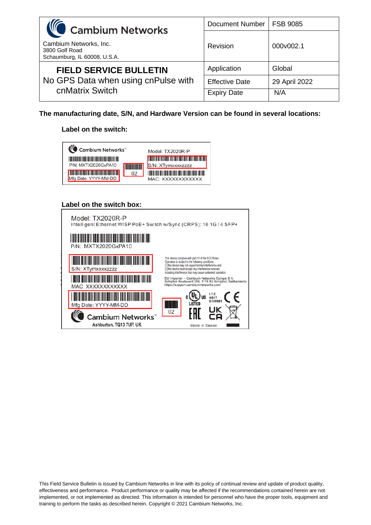| <b>WC</b> Cambium Networks                                                              | <b>Document Number</b> | <b>FSB 9085</b> |
|-----------------------------------------------------------------------------------------|------------------------|-----------------|
| Cambium Networks, Inc.<br>3800 Golf Road<br>Schaumburg, IL 60008, U.S.A.                | Revision               | 000v002.1       |
| <b>FIELD SERVICE BULLETIN</b><br>No GPS Data when using cnPulse with<br>cnMatrix Switch | Application            | Global          |
|                                                                                         | <b>Effective Date</b>  | 29 April 2022   |
|                                                                                         | <b>Expiry Date</b>     | N/A             |

**The manufacturing date, S/N, and Hardware Version can be found in several locations:**

#### **Label on the switch:**



#### **Label on the switch box:**

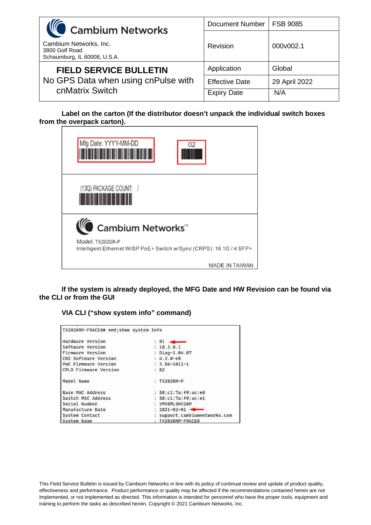| <b>WC</b> Cambium Networks                                               | <b>Document Number</b> | <b>FSB 9085</b> |
|--------------------------------------------------------------------------|------------------------|-----------------|
| Cambium Networks, Inc.<br>3800 Golf Road<br>Schaumburg, IL 60008, U.S.A. | Revision               | 000v002.1       |
| <b>FIELD SERVICE BULLETIN</b>                                            | Application            | Global          |
| No GPS Data when using cnPulse with<br>cnMatrix Switch                   | <b>Effective Date</b>  | 29 April 2022   |
|                                                                          | <b>Expiry Date</b>     | N/A             |

**Label on the carton (If the distributor doesn't unpack the individual switch boxes from the overpack carton).**

| Mfg Date: YYYY-MM-DD<br>02                                                              |
|-----------------------------------------------------------------------------------------|
| (13Q) PACKAGE COUNT: /                                                                  |
| Cambium Networks <sup>™</sup>                                                           |
| Model: TX2020R-P<br>Intelligent Ethernet WISP PoE+ Switch w/Sync (CRPS): 16 1G / 4 SFP+ |
| <b>MADE IN TAIWAN</b>                                                                   |

**If the system is already deployed, the MFG Date and HW Revision can be found via the CLI or from the GUI**

## **VIA CLI ("show system info" command)**

| TX2020RP-F9ACE0# end; show system info |                             |
|----------------------------------------|-----------------------------|
| Hardware Version                       | $: 01 \longrightarrow$      |
| Software Version                       | : 10.3.0.1                  |
| <b>Firmware Version</b>                | : Diag-1.04.07              |
| CNS Software Version                   | $: 4.3.0 - e5$              |
| PoE Firmware Version                   | $: 3.56 - 1011 - 1$         |
| <b>CPLD Firmware Version</b>           | B2                          |
| Model Name                             | : $TX2020R-P$               |
| <b>Base MAC Address</b>                | : 58:c1:7a:f9:ac:e0         |
| Switch MAC Address                     | : 58:c1:7a:f9:ac:e1         |
| Serial Number                          | : XMXBMLSHV26M              |
| Manufacture Date                       | $: 2021 - 02 - 01$          |
| System Contact                         | support.cambiumnetworks.com |
| System Name                            | TX2020RP-F9ACE0             |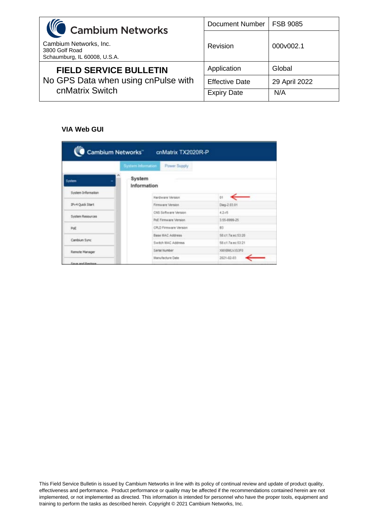| <b>IC</b> Cambium Networks                                                              | <b>Document Number</b> | <b>FSB 9085</b> |
|-----------------------------------------------------------------------------------------|------------------------|-----------------|
| Cambium Networks, Inc.<br>3800 Golf Road<br>Schaumburg, IL 60008, U.S.A.                | Revision               | 000v002.1       |
| <b>FIELD SERVICE BULLETIN</b><br>No GPS Data when using cnPulse with<br>cnMatrix Switch | Application            | Global          |
|                                                                                         | <b>Effective Date</b>  | 29 April 2022   |
|                                                                                         | <b>Expiry Date</b>     | N/A             |

# **VIA Web GUI**